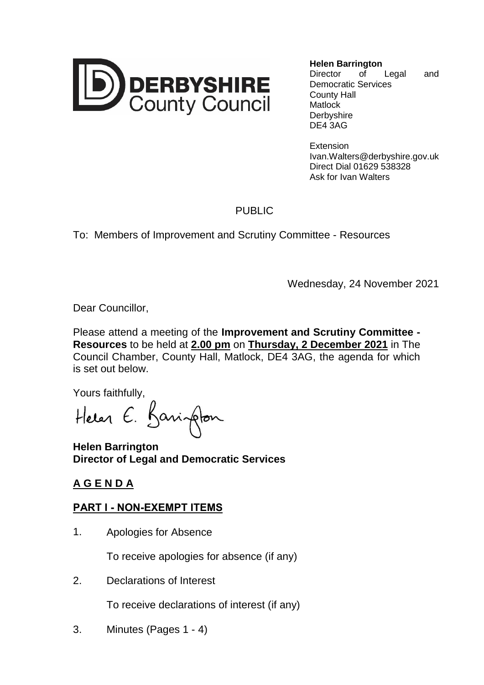

**Helen Barrington** Director of Legal and Democratic Services

County Hall **Matlock Derbyshire** DE4 3AG

**Extension** Ivan.Walters@derbyshire.gov.uk Direct Dial 01629 538328 Ask for Ivan Walters

## PUBLIC

To: Members of Improvement and Scrutiny Committee - Resources

Wednesday, 24 November 2021

Dear Councillor,

Please attend a meeting of the **Improvement and Scrutiny Committee - Resources** to be held at **2.00 pm** on **Thursday, 2 December 2021** in The Council Chamber, County Hall, Matlock, DE4 3AG, the agenda for which is set out below.

Yours faithfully,

Heren E. Barington

**Helen Barrington Director of Legal and Democratic Services**

## **A G E N D A**

## **PART I - NON-EXEMPT ITEMS**

1. Apologies for Absence

To receive apologies for absence (if any)

2. Declarations of Interest

To receive declarations of interest (if any)

3. Minutes (Pages 1 - 4)